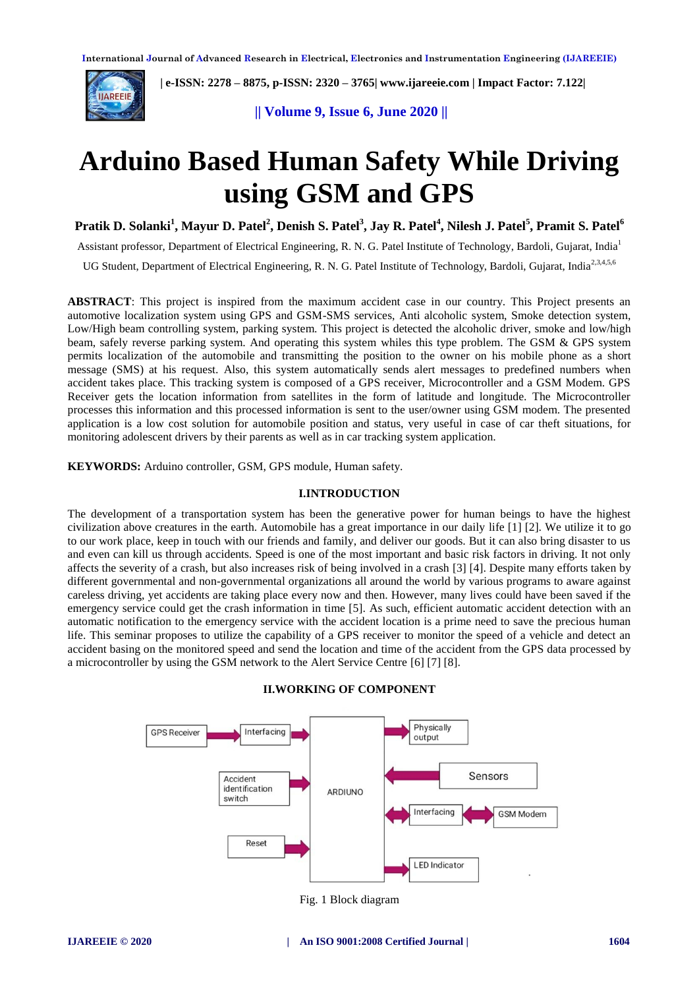

 **| e-ISSN: 2278 – 8875, p-ISSN: 2320 – 3765[| www.ijareeie.com](http://www.ijareeie.com/) | Impact Factor: 7.122|** 

**|| Volume 9, Issue 6, June 2020 ||** 

# **Arduino Based Human Safety While Driving using GSM and GPS**

**Pratik D. Solanki<sup>1</sup> , Mayur D. Patel<sup>2</sup> , Denish S. Patel<sup>3</sup> , Jay R. Patel<sup>4</sup> , Nilesh J. Patel<sup>5</sup> , Pramit S. Patel<sup>6</sup>**

Assistant professor, Department of Electrical Engineering, R. N. G. Patel Institute of Technology, Bardoli, Gujarat, India<sup>1</sup>

UG Student, Department of Electrical Engineering, R. N. G. Patel Institute of Technology, Bardoli, Gujarat, India<sup>2,3,4,5,6</sup>

**ABSTRACT**: This project is inspired from the maximum accident case in our country. This Project presents an automotive localization system using GPS and GSM-SMS services, Anti alcoholic system, Smoke detection system, Low/High beam controlling system, parking system. This project is detected the alcoholic driver, smoke and low/high beam, safely reverse parking system. And operating this system whiles this type problem. The GSM & GPS system permits localization of the automobile and transmitting the position to the owner on his mobile phone as a short message (SMS) at his request. Also, this system automatically sends alert messages to predefined numbers when accident takes place. This tracking system is composed of a GPS receiver, Microcontroller and a GSM Modem. GPS Receiver gets the location information from satellites in the form of latitude and longitude. The Microcontroller processes this information and this processed information is sent to the user/owner using GSM modem. The presented application is a low cost solution for automobile position and status, very useful in case of car theft situations, for monitoring adolescent drivers by their parents as well as in car tracking system application.

**KEYWORDS:** Arduino controller, GSM, GPS module, Human safety.

#### **I.INTRODUCTION**

The development of a transportation system has been the generative power for human beings to have the highest civilization above creatures in the earth. Automobile has a great importance in our daily life [1] [2]. We utilize it to go to our work place, keep in touch with our friends and family, and deliver our goods. But it can also bring disaster to us and even can kill us through accidents. Speed is one of the most important and basic risk factors in driving. It not only affects the severity of a crash, but also increases risk of being involved in a crash [3] [4]. Despite many efforts taken by different governmental and non-governmental organizations all around the world by various programs to aware against careless driving, yet accidents are taking place every now and then. However, many lives could have been saved if the emergency service could get the crash information in time [5]. As such, efficient automatic accident detection with an automatic notification to the emergency service with the accident location is a prime need to save the precious human life. This seminar proposes to utilize the capability of a GPS receiver to monitor the speed of a vehicle and detect an accident basing on the monitored speed and send the location and time of the accident from the GPS data processed by a microcontroller by using the GSM network to the Alert Service Centre [6] [7] [8].



## **II.WORKING OF COMPONENT**

Fig. 1 Block diagram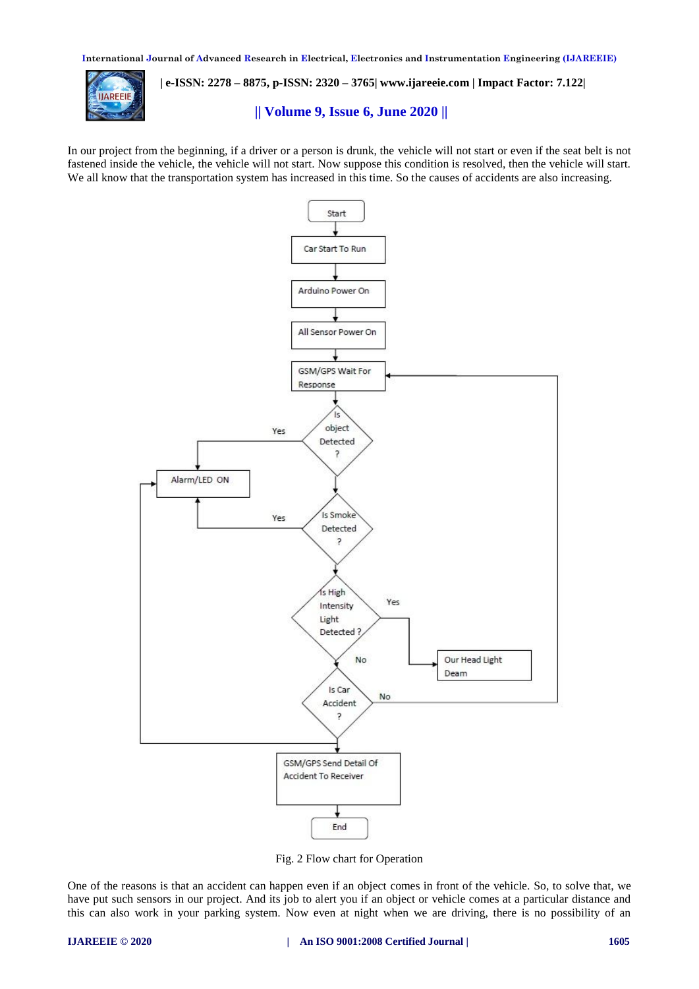**International Journal of Advanced Research in Electrical, Electronics and Instrumentation Engineering (IJAREEIE)** 



 **| e-ISSN: 2278 – 8875, p-ISSN: 2320 – 3765[| www.ijareeie.com](http://www.ijareeie.com/) | Impact Factor: 7.122|** 

# **|| Volume 9, Issue 6, June 2020 ||**

In our project from the beginning, if a driver or a person is drunk, the vehicle will not start or even if the seat belt is not fastened inside the vehicle, the vehicle will not start. Now suppose this condition is resolved, then the vehicle will start. We all know that the transportation system has increased in this time. So the causes of accidents are also increasing.



Fig. 2 Flow chart for Operation

One of the reasons is that an accident can happen even if an object comes in front of the vehicle. So, to solve that, we have put such sensors in our project. And its job to alert you if an object or vehicle comes at a particular distance and this can also work in your parking system. Now even at night when we are driving, there is no possibility of an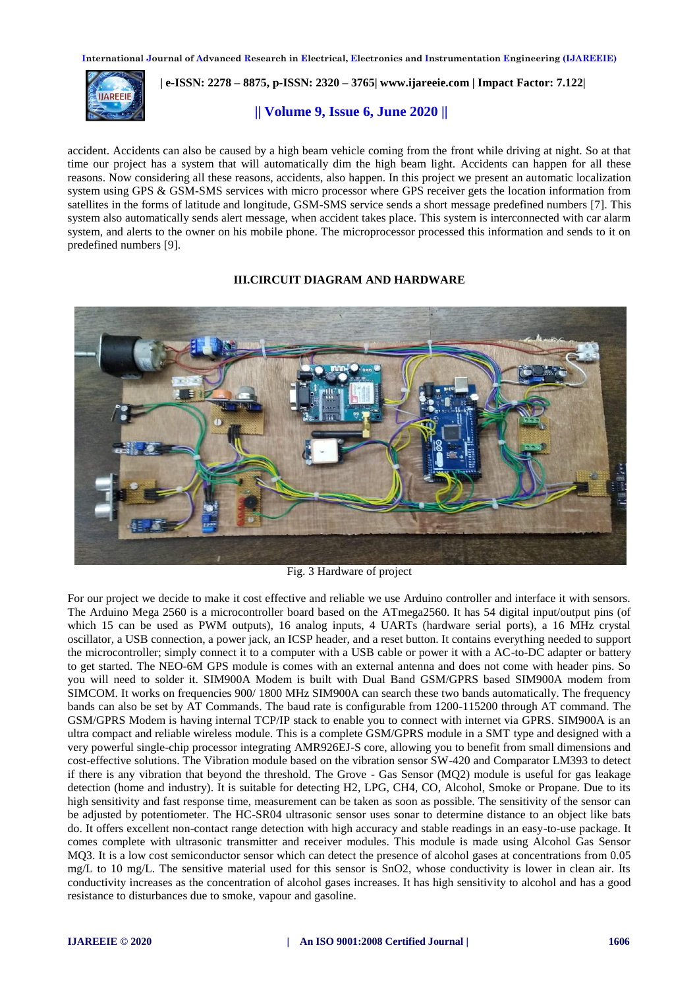**International Journal of Advanced Research in Electrical, Electronics and Instrumentation Engineering (IJAREEIE)** 



 **| e-ISSN: 2278 – 8875, p-ISSN: 2320 – 3765[| www.ijareeie.com](http://www.ijareeie.com/) | Impact Factor: 7.122|** 

# **|| Volume 9, Issue 6, June 2020 ||**

accident. Accidents can also be caused by a high beam vehicle coming from the front while driving at night. So at that time our project has a system that will automatically dim the high beam light. Accidents can happen for all these reasons. Now considering all these reasons, accidents, also happen. In this project we present an automatic localization system using GPS & GSM-SMS services with micro processor where GPS receiver gets the location information from satellites in the forms of latitude and longitude, GSM-SMS service sends a short message predefined numbers [7]. This system also automatically sends alert message, when accident takes place. This system is interconnected with car alarm system, and alerts to the owner on his mobile phone. The microprocessor processed this information and sends to it on predefined numbers [9].

### **III.CIRCUIT DIAGRAM AND HARDWARE**



Fig. 3 Hardware of project

For our project we decide to make it cost effective and reliable we use Arduino controller and interface it with sensors. The Arduino Mega 2560 is a microcontroller board based on the ATmega2560. It has 54 digital input/output pins (of which 15 can be used as PWM outputs), 16 analog inputs, 4 UARTs (hardware serial ports), a 16 MHz crystal oscillator, a USB connection, a power jack, an ICSP header, and a reset button. It contains everything needed to support the microcontroller; simply connect it to a computer with a USB cable or power it with a AC-to-DC adapter or battery to get started. The NEO-6M GPS module is comes with an external antenna and does not come with header pins. So you will need to solder it. SIM900A Modem is built with Dual Band GSM/GPRS based SIM900A modem from SIMCOM. It works on frequencies 900/ 1800 MHz SIM900A can search these two bands automatically. The frequency bands can also be set by AT Commands. The baud rate is configurable from 1200-115200 through AT command. The GSM/GPRS Modem is having internal TCP/IP stack to enable you to connect with internet via GPRS. SIM900A is an ultra compact and reliable wireless module. This is a complete GSM/GPRS module in a SMT type and designed with a very powerful single-chip processor integrating AMR926EJ-S core, allowing you to benefit from small dimensions and cost-effective solutions. The Vibration module based on the vibration sensor SW-420 and Comparator LM393 to detect if there is any vibration that beyond the threshold. The Grove - Gas Sensor (MQ2) module is useful for gas leakage detection (home and industry). It is suitable for detecting H2, LPG, CH4, CO, Alcohol, Smoke or Propane. Due to its high sensitivity and fast response time, measurement can be taken as soon as possible. The sensitivity of the sensor can be adjusted by potentiometer. The HC-SR04 ultrasonic sensor uses sonar to determine distance to an object like bats do. It offers excellent non-contact range detection with high accuracy and stable readings in an easy-to-use package. It comes complete with ultrasonic transmitter and receiver modules. This module is made using Alcohol Gas Sensor MQ3. It is a low cost semiconductor sensor which can detect the presence of alcohol gases at concentrations from 0.05 mg/L to 10 mg/L. The sensitive material used for this sensor is SnO2, whose conductivity is lower in clean air. Its conductivity increases as the concentration of alcohol gases increases. It has high sensitivity to alcohol and has a good resistance to disturbances due to smoke, vapour and gasoline.